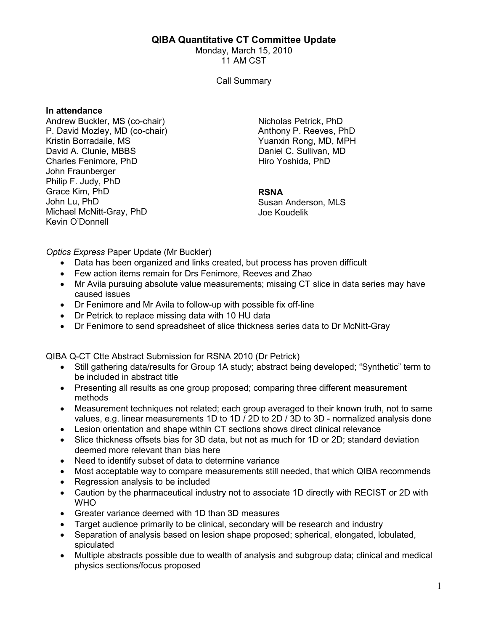## QIBA Quantitative CT Committee Update

Monday, March 15, 2010 11 AM CST

Call Summary

## In attendance

Andrew Buckler, MS (co-chair) P. David Mozley, MD (co-chair) Kristin Borradaile, MS David A. Clunie, MBBS Charles Fenimore, PhD John Fraunberger Philip F. Judy, PhD Grace Kim, PhD John Lu, PhD Michael McNitt-Gray, PhD Kevin O'Donnell

Nicholas Petrick, PhD Anthony P. Reeves, PhD Yuanxin Rong, MD, MPH Daniel C. Sullivan, MD Hiro Yoshida, PhD

## RSNA

Susan Anderson, MLS Joe Koudelik

Optics Express Paper Update (Mr Buckler)

- Data has been organized and links created, but process has proven difficult
- Few action items remain for Drs Fenimore, Reeves and Zhao
- Mr Avila pursuing absolute value measurements; missing CT slice in data series may have caused issues
- Dr Fenimore and Mr Avila to follow-up with possible fix off-line
- Dr Petrick to replace missing data with 10 HU data
- Dr Fenimore to send spreadsheet of slice thickness series data to Dr McNitt-Gray

QIBA Q-CT Ctte Abstract Submission for RSNA 2010 (Dr Petrick)

- Still gathering data/results for Group 1A study; abstract being developed; "Synthetic" term to be included in abstract title
- Presenting all results as one group proposed; comparing three different measurement methods
- Measurement techniques not related; each group averaged to their known truth, not to same values, e.g. linear measurements 1D to 1D / 2D to 2D / 3D to 3D - normalized analysis done
- Lesion orientation and shape within CT sections shows direct clinical relevance
- Slice thickness offsets bias for 3D data, but not as much for 1D or 2D; standard deviation deemed more relevant than bias here
- Need to identify subset of data to determine variance
- Most acceptable way to compare measurements still needed, that which QIBA recommends
- Regression analysis to be included
- Caution by the pharmaceutical industry not to associate 1D directly with RECIST or 2D with WHO
- Greater variance deemed with 1D than 3D measures
- Target audience primarily to be clinical, secondary will be research and industry
- Separation of analysis based on lesion shape proposed; spherical, elongated, lobulated, spiculated
- Multiple abstracts possible due to wealth of analysis and subgroup data; clinical and medical physics sections/focus proposed